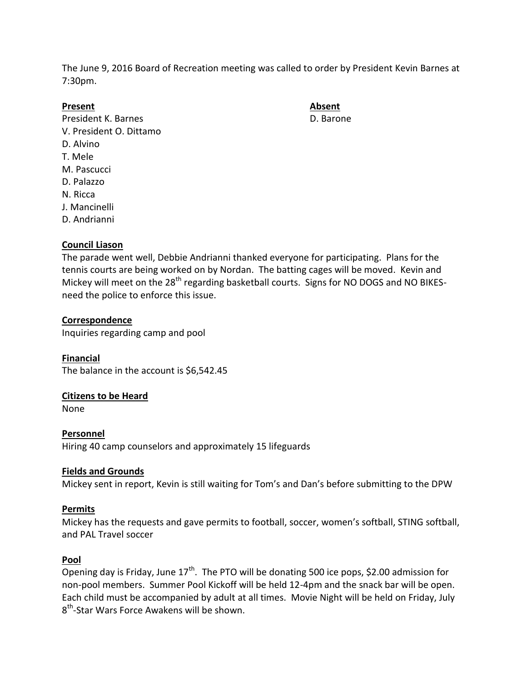The June 9, 2016 Board of Recreation meeting was called to order by President Kevin Barnes at 7:30pm.

**Present Absent** President K. Barnes **D. Barone** V. President O. Dittamo D. Alvino T. Mele M. Pascucci D. Palazzo N. Ricca J. Mancinelli D. Andrianni

# **Council Liason**

The parade went well, Debbie Andrianni thanked everyone for participating. Plans for the tennis courts are being worked on by Nordan. The batting cages will be moved. Kevin and Mickey will meet on the 28<sup>th</sup> regarding basketball courts. Signs for NO DOGS and NO BIKESneed the police to enforce this issue.

## **Correspondence**

Inquiries regarding camp and pool

**Financial** The balance in the account is \$6,542.45

## **Citizens to be Heard**

None

**Personnel** Hiring 40 camp counselors and approximately 15 lifeguards

## **Fields and Grounds**

Mickey sent in report, Kevin is still waiting for Tom's and Dan's before submitting to the DPW

## **Permits**

Mickey has the requests and gave permits to football, soccer, women's softball, STING softball, and PAL Travel soccer

## **Pool**

Opening day is Friday, June  $17<sup>th</sup>$ . The PTO will be donating 500 ice pops, \$2.00 admission for non-pool members. Summer Pool Kickoff will be held 12-4pm and the snack bar will be open. Each child must be accompanied by adult at all times. Movie Night will be held on Friday, July 8<sup>th</sup>-Star Wars Force Awakens will be shown.